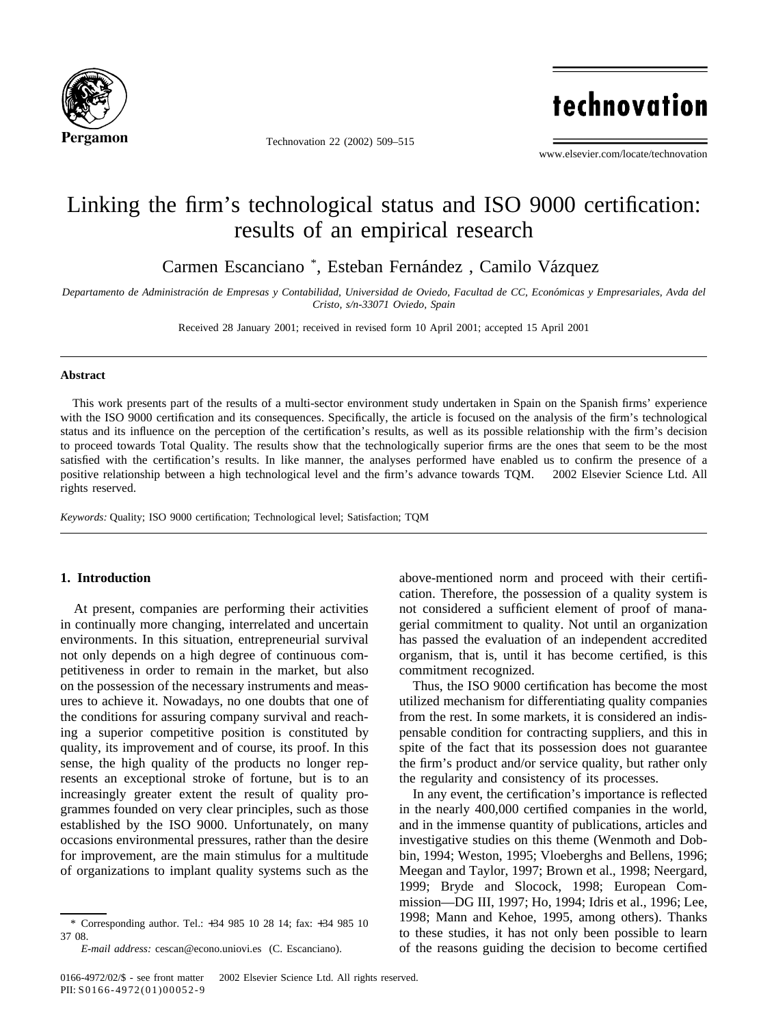

Technovation 22 (2002) 509–515

technovation

www.elsevier.com/locate/technovation

# Linking the firm's technological status and ISO 9000 certification: results of an empirical research

Carmen Escanciano<sup>\*</sup>, Esteban Fernández, Camilo Vázquez

*Departamento de Administracio´n de Empresas y Contabilidad, Universidad de Oviedo, Facultad de CC, Econo´micas y Empresariales, Avda del Cristo, s/n-33071 Oviedo, Spain*

Received 28 January 2001; received in revised form 10 April 2001; accepted 15 April 2001

### **Abstract**

This work presents part of the results of a multi-sector environment study undertaken in Spain on the Spanish firms' experience with the ISO 9000 certification and its consequences. Specifically, the article is focused on the analysis of the firm's technological status and its influence on the perception of the certification's results, as well as its possible relationship with the firm's decision to proceed towards Total Quality. The results show that the technologically superior firms are the ones that seem to be the most satisfied with the certification's results. In like manner, the analyses performed have enabled us to confirm the presence of a positive relationship between a high technological level and the firm's advance towards TQM. © 2002 Elsevier Science Ltd. All rights reserved.

*Keywords:* Quality; ISO 9000 certification; Technological level; Satisfaction; TQM

## **1. Introduction**

At present, companies are performing their activities in continually more changing, interrelated and uncertain environments. In this situation, entrepreneurial survival not only depends on a high degree of continuous competitiveness in order to remain in the market, but also on the possession of the necessary instruments and measures to achieve it. Nowadays, no one doubts that one of the conditions for assuring company survival and reaching a superior competitive position is constituted by quality, its improvement and of course, its proof. In this sense, the high quality of the products no longer represents an exceptional stroke of fortune, but is to an increasingly greater extent the result of quality programmes founded on very clear principles, such as those established by the ISO 9000. Unfortunately, on many occasions environmental pressures, rather than the desire for improvement, are the main stimulus for a multitude of organizations to implant quality systems such as the above-mentioned norm and proceed with their certification. Therefore, the possession of a quality system is not considered a sufficient element of proof of managerial commitment to quality. Not until an organization has passed the evaluation of an independent accredited organism, that is, until it has become certified, is this commitment recognized.

Thus, the ISO 9000 certification has become the most utilized mechanism for differentiating quality companies from the rest. In some markets, it is considered an indispensable condition for contracting suppliers, and this in spite of the fact that its possession does not guarantee the firm's product and/or service quality, but rather only the regularity and consistency of its processes.

In any event, the certification's importance is reflected in the nearly 400,000 certified companies in the world, and in the immense quantity of publications, articles and investigative studies on this theme (Wenmoth and Dobbin, 1994; Weston, 1995; Vloeberghs and Bellens, 1996; Meegan and Taylor, 1997; Brown et al., 1998; Neergard, 1999; Bryde and Slocock, 1998; European Commission—DG III, 1997; Ho, 1994; Idris et al., 1996; Lee, 1998; Mann and Kehoe, 1995, among others). Thanks to these studies, it has not only been possible to learn of the reasons guiding the decision to become certified

<sup>\*</sup> Corresponding author. Tel.: +34 985 10 28 14; fax: +34 985 10 37 08.

*E-mail address:* cescan@econo.uniovi.es (C. Escanciano).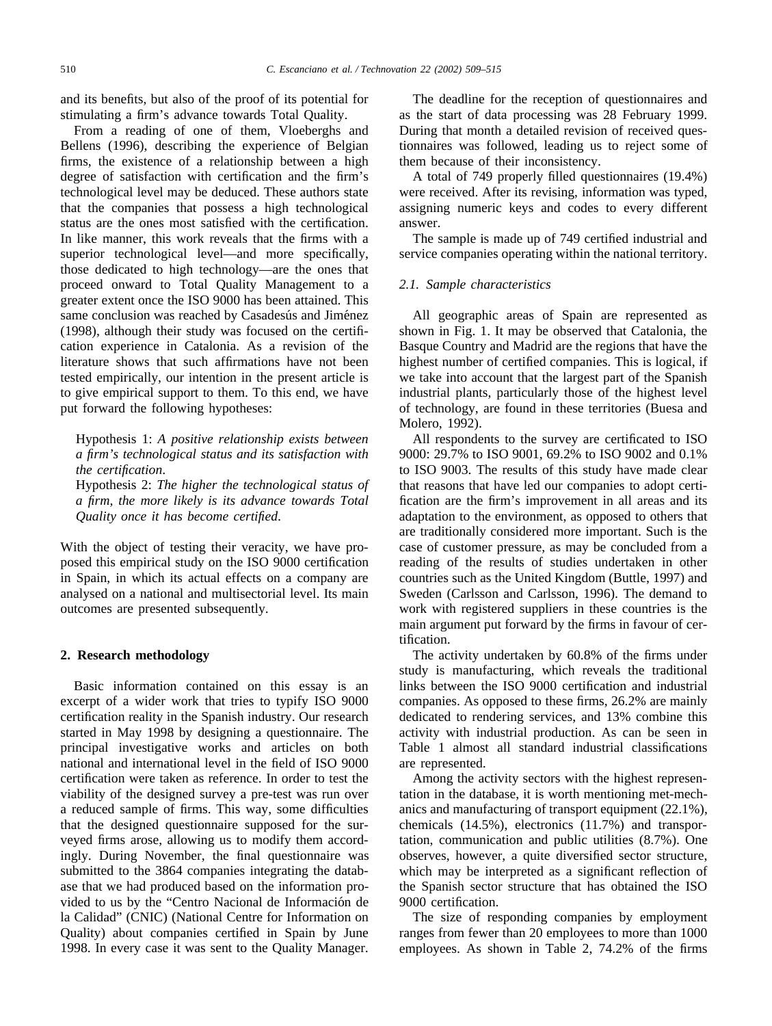and its benefits, but also of the proof of its potential for stimulating a firm's advance towards Total Quality.

From a reading of one of them, Vloeberghs and Bellens (1996), describing the experience of Belgian firms, the existence of a relationship between a high degree of satisfaction with certification and the firm's technological level may be deduced. These authors state that the companies that possess a high technological status are the ones most satisfied with the certification. In like manner, this work reveals that the firms with a superior technological level—and more specifically, those dedicated to high technology—are the ones that proceed onward to Total Quality Management to a greater extent once the ISO 9000 has been attained. This same conclusion was reached by Casadesús and Jiménez (1998), although their study was focused on the certification experience in Catalonia. As a revision of the literature shows that such affirmations have not been tested empirically, our intention in the present article is to give empirical support to them. To this end, we have put forward the following hypotheses:

Hypothesis 1: *A positive relationship exists between a firm's technological status and its satisfaction with the certification*.

Hypothesis 2: *The higher the technological status of a firm, the more likely is its advance towards Total Quality once it has become certified*.

With the object of testing their veracity, we have proposed this empirical study on the ISO 9000 certification in Spain, in which its actual effects on a company are analysed on a national and multisectorial level. Its main outcomes are presented subsequently.

#### **2. Research methodology**

Basic information contained on this essay is an excerpt of a wider work that tries to typify ISO 9000 certification reality in the Spanish industry. Our research started in May 1998 by designing a questionnaire. The principal investigative works and articles on both national and international level in the field of ISO 9000 certification were taken as reference. In order to test the viability of the designed survey a pre-test was run over a reduced sample of firms. This way, some difficulties that the designed questionnaire supposed for the surveyed firms arose, allowing us to modify them accordingly. During November, the final questionnaire was submitted to the 3864 companies integrating the database that we had produced based on the information provided to us by the "Centro Nacional de Información de la Calidad" (CNIC) (National Centre for Information on Quality) about companies certified in Spain by June 1998. In every case it was sent to the Quality Manager.

The deadline for the reception of questionnaires and as the start of data processing was 28 February 1999. During that month a detailed revision of received questionnaires was followed, leading us to reject some of them because of their inconsistency.

A total of 749 properly filled questionnaires (19.4%) were received. After its revising, information was typed, assigning numeric keys and codes to every different answer.

The sample is made up of 749 certified industrial and service companies operating within the national territory.

### *2.1. Sample characteristics*

All geographic areas of Spain are represented as shown in Fig. 1. It may be observed that Catalonia, the Basque Country and Madrid are the regions that have the highest number of certified companies. This is logical, if we take into account that the largest part of the Spanish industrial plants, particularly those of the highest level of technology, are found in these territories (Buesa and Molero, 1992).

All respondents to the survey are certificated to ISO 9000: 29.7% to ISO 9001, 69.2% to ISO 9002 and 0.1% to ISO 9003. The results of this study have made clear that reasons that have led our companies to adopt certification are the firm's improvement in all areas and its adaptation to the environment, as opposed to others that are traditionally considered more important. Such is the case of customer pressure, as may be concluded from a reading of the results of studies undertaken in other countries such as the United Kingdom (Buttle, 1997) and Sweden (Carlsson and Carlsson, 1996). The demand to work with registered suppliers in these countries is the main argument put forward by the firms in favour of certification.

The activity undertaken by 60.8% of the firms under study is manufacturing, which reveals the traditional links between the ISO 9000 certification and industrial companies. As opposed to these firms, 26.2% are mainly dedicated to rendering services, and 13% combine this activity with industrial production. As can be seen in Table 1 almost all standard industrial classifications are represented.

Among the activity sectors with the highest representation in the database, it is worth mentioning met-mechanics and manufacturing of transport equipment (22.1%), chemicals (14.5%), electronics (11.7%) and transportation, communication and public utilities (8.7%). One observes, however, a quite diversified sector structure, which may be interpreted as a significant reflection of the Spanish sector structure that has obtained the ISO 9000 certification.

The size of responding companies by employment ranges from fewer than 20 employees to more than 1000 employees. As shown in Table 2, 74.2% of the firms